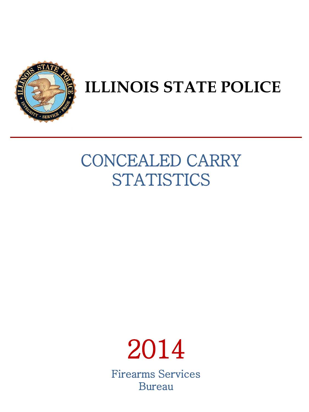

# **ILLINOIS STATE POLICE**

# CONCEALED CARRY **STATISTICS**

# 2014 Firearms Services

Bureau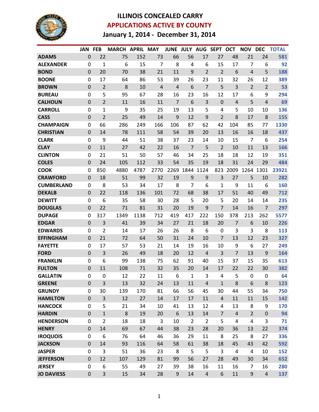

## **ILLINOIS CONCEALED CARRY APPLICATIONS ACTIVE BY COUNTY January 1, 2014 - December 31, 2014**

|                   | <b>JAN FEB</b>   |                  | <b>MARCH APRIL MAY</b> |      |                | JUNE JULY AUG SEPT OCT |                |                |                |                | <b>NOV</b>              | <b>DEC</b>     | <b>TOTAL</b> |
|-------------------|------------------|------------------|------------------------|------|----------------|------------------------|----------------|----------------|----------------|----------------|-------------------------|----------------|--------------|
| <b>ADAMS</b>      | $\mathbf 0$      | 22               | 75                     | 152  | 73             | 66                     | 56             | 17             | 27             | 48             | 21                      | 24             | 581          |
| <b>ALEXANDER</b>  | $\mathbf 0$      | 1                | 6                      | 15   | $\overline{7}$ | 8                      | 4              | 6              | 15             | 17             | 7                       | 6              | 92           |
| <b>BOND</b>       | $\mathbf 0$      | 20               | 70                     | 38   | 21             | 11                     | 9              | 2              | $\overline{2}$ | 6              | 4                       | 5              | 188          |
| <b>BOONE</b>      | $\Omega$         | 17               | 64                     | 86   | 53             | 39                     | 26             | 23             | 11             | 32             | 26                      | 12             | 389          |
| <b>BROWN</b>      | $\mathbf 0$      | $\overline{2}$   | 8                      | 10   | $\overline{4}$ | 4                      | 6              | $\overline{7}$ | 5              | 3              | $\overline{2}$          | $\overline{2}$ | 53           |
| <b>BUREAU</b>     | 0                | 5                | 95                     | 67   | 28             | 16                     | 23             | 16             | 12             | 17             | 6                       | 9              | 294          |
| <b>CALHOUN</b>    | $\mathbf 0$      | $\overline{2}$   | 11                     | 16   | 11             | $\overline{7}$         | 6              | 3              | $\mathbf 0$    | $\overline{4}$ | 5                       | $\overline{4}$ | 69           |
| <b>CARROLL</b>    | 0                | $\mathbf{1}$     | 9                      | 35   | 25             | 19                     | 13             | 5              | 4              | 5              | 10                      | 10             | 136          |
| <b>CASS</b>       | $\mathbf 0$      | $\overline{2}$   | 25                     | 49   | 14             | 9                      | 12             | 9              | $\overline{2}$ | 8              | 17                      | 8              | 155          |
| <b>CHAMPAIGN</b>  | 0                | 66               | 286                    | 249  | 166            | 106                    | 87             | 62             | 42             | 104            | 85                      | 77             | 1330         |
| <b>CHRISTIAN</b>  | $\mathbf 0$      | 14               | 78                     | 111  | 58             | 54                     | 39             | 20             | 13             | 16             | 16                      | 18             | 437          |
| <b>CLARK</b>      | 0                | 9                | 44                     | 51   | 38             | 37                     | 23             | 14             | 10             | 15             | 7                       | 6              | 254          |
| <b>CLAY</b>       | $\mathbf 0$      | 11               | 27                     | 42   | 22             | 16                     | $\overline{7}$ | 5              | $\overline{2}$ | 10             | 11                      | 13             | 166          |
| <b>CLINTON</b>    | 0                | 21               | 51                     | 50   | 57             | 46                     | 34             | 25             | 18             | 18             | 12                      | 19             | 351          |
| <b>COLES</b>      | $\mathbf 0$      | 24               | 105                    | 112  | 33             | 54                     | 35             | 19             | 18             | 31             | 24                      | 29             | 484          |
| <b>COOK</b>       | $\mathbf 0$      | 850              | 4880                   | 4787 | 2770           | 2269                   | 1844           | 1124           | 823            | 2009           | 1264                    | 1301           | 23921        |
| <b>CRAWFORD</b>   | $\mathbf 0$      | 18               | 51                     | 99   | 32             | 19                     | 9              | 9              | 3              | 27             | 5                       | 10             | 282          |
| <b>CUMBERLAND</b> | 0                | 8                | 53                     | 34   | 17             | 8                      | $\overline{7}$ | 6              | 1              | 9              | 11                      | 6              | 160          |
| <b>DEKALB</b>     | $\mathbf 0$      | 22               | 118                    | 136  | 101            | 72                     | 68             | 38             | 17             | 51             | 40                      | 49             | 712          |
| <b>DEWITT</b>     | 0                | 6                | 35                     | 58   | 30             | 28                     | 5              | 20             | 5              | 20             | 14                      | 14             | 235          |
| <b>DOUGLAS</b>    | $\mathbf 0$      | 22               | 71                     | 81   | 31             | 20                     | 19             | 9              | $\overline{7}$ | 14             | 16                      | $\overline{7}$ | 297          |
| <b>DUPAGE</b>     | 0                | 317              | 1349                   | 1138 | 712            | 419                    | 417            | 222            | 150            | 378            | 213                     | 262            | 5577         |
| <b>EDGAR</b>      | $\mathbf 0$      | 3                | 41                     | 39   | 34             | 27                     | 21             | 18             | 20             | $\overline{7}$ | 6                       | 10             | 226          |
| <b>EDWARDS</b>    | $\mathbf 0$      | $\overline{2}$   | 14                     | 17   | 26             | 26                     | 8              | 6              | 0              | 3              | 3                       | 8              | 113          |
| <b>EFFINGHAM</b>  | $\mathbf 0$      | 21               | 72                     | 64   | 50             | 31                     | 24             | 10             | $\overline{7}$ | 13             | 12                      | 23             | 327          |
| <b>FAYETTE</b>    | $\mathbf 0$      | 17               | 57                     | 53   | 21             | 14                     | 19             | 16             | 10             | 9              | 6                       | 27             | 249          |
| <b>FORD</b>       | $\mathbf 0$      | 3                | 26                     | 49   | 18             | 20                     | 12             | $\overline{4}$ | 3              | 7              | 13                      | 9              | 164          |
| <b>FRANKLIN</b>   | $\mathbf 0$      | 6                | 99                     | 138  | 75             | 62                     | 91             | 40             | 15             | 37             | 15                      | 35             | 613          |
| <b>FULTON</b>     | $\mathbf 0$      | 11               | 108                    | 71   | 32             | 35                     | 20             | 14             | 17             | 22             | 22                      | 30             | 382          |
| <b>GALLATIN</b>   | $\Omega$         | 0                | 12                     | 22   | 11             | 6                      | 1              | 3              | 4              | 5              | 0                       | 0              | 64           |
| <b>GREENE</b>     | $\boldsymbol{0}$ | 3                | 13                     | 32   | 24             | 13                     | 11             | $\overline{4}$ | $\mathbf{1}$   | $\,8$          | 6                       | 8              | 123          |
| <b>GRUNDY</b>     | 0                | 30               | 139                    | 170  | 81             | 66                     | 56             | 45             | 30             | 44             | 55                      | 34             | 750          |
| <b>HAMILTON</b>   | $\mathbf 0$      | $\overline{3}$   | 12                     | 27   | 14             | 17                     | 17             | 11             | $\overline{4}$ | 11             | 11                      | 15             | 142          |
| <b>HANCOCK</b>    | $\mathbf 0$      | 5                | 21                     | 34   | 10             | 41                     | 13             | 12             | 4              | 13             | 8                       | 9              | 170          |
| <b>HARDIN</b>     | $\mathbf 0$      | $\mathbf{1}$     | 8                      | 19   | 20             | 6                      | 13             | 14             | $\overline{7}$ | $\overline{4}$ | $\overline{2}$          | $\mathbf 0$    | 94           |
| <b>HENDERSON</b>  | $\mathbf 0$      | $\overline{2}$   | 18                     | 18   | 3              | 10                     | $\overline{2}$ | $\overline{2}$ | 5              | $\overline{4}$ | $\overline{\mathbf{4}}$ | 3              | 71           |
| <b>HENRY</b>      | $\boldsymbol{0}$ | 14               | 69                     | 67   | 44             | 38                     | 23             | 28             | 20             | 36             | 13                      | 22             | 374          |
| <b>IROQUOIS</b>   | $\mathbf 0$      | $\boldsymbol{6}$ | 76                     | 64   | 46             | 36                     | 29             | 11             | 8              | 25             | 8                       | 27             | 336          |
| <b>JACKSON</b>    | $\mathbf 0$      | 14               | 93                     | 116  | 64             | 58                     | 61             | 38             | 18             | 45             | 43                      | 42             | 592          |
| <b>JASPER</b>     | $\mathbf 0$      | 3                | 51                     | 36   | 23             | 8                      | 5              | 5              | 3              | $\sqrt{4}$     | $\overline{4}$          | 10             | 152          |
| <b>JEFFERSON</b>  | $\mathbf 0$      | 12               | 107                    | 129  | 81             | 99                     | 56             | 27             | 28             | 49             | 30                      | 34             | 652          |
| <b>JERSEY</b>     | $\mathbf 0$      | 6                | 55                     | 49   | 27             | 39                     | 38             | 16             | 11             | 16             | $\overline{7}$          | 16             | 280          |
| <b>JO DAVIESS</b> | $\mathbf 0$      | 3                | 15                     | 34   | 28             | $\boldsymbol{9}$       | 14             | $\sqrt{4}$     | 6              | 11             | $\boldsymbol{9}$        | $\overline{4}$ | 137          |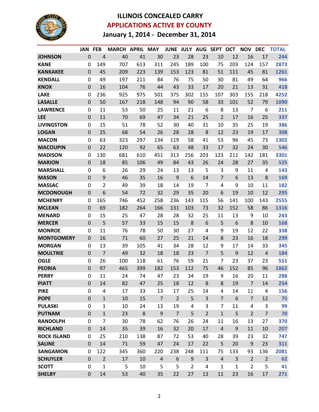

## **ILLINOIS CONCEALED CARRY APPLICATIONS ACTIVE BY COUNTY January 1, 2014 - December 31, 2014**

|                    | JAN              | <b>FEB</b>       | MARCH APRIL MAY |     |                |                |                |                | JUNE JULY AUG SEPT OCT |              | <b>NOV</b>     | <b>DEC</b>     | <b>TOTAL</b> |
|--------------------|------------------|------------------|-----------------|-----|----------------|----------------|----------------|----------------|------------------------|--------------|----------------|----------------|--------------|
| <b>JOHNSON</b>     | $\mathbf 0$      | $\overline{4}$   | 40              | 41  | 30             | 23             | 28             | 23             | 10                     | 12           | 16             | 17             | 244          |
| <b>KANE</b>        | 0                | 149              | 707             | 613 | 311            | 245            | 189            | 100            | 75                     | 203          | 124            | 157            | 2873         |
| <b>KANKAKEE</b>    | $\mathbf 0$      | 45               | 209             | 223 | 139            | 153            | 123            | 81             | 51                     | 111          | 45             | 81             | 1261         |
| <b>KENDALL</b>     | 0                | 49               | 197             | 211 | 84             | 76             | 75             | 50             | 30                     | 81           | 49             | 64             | 966          |
| <b>KNOX</b>        | $\mathbf 0$      | 16               | 104             | 76  | 44             | 43             | 33             | 17             | 20                     | 21           | 13             | 31             | 418          |
| <b>LAKE</b>        | 0                | 236              | 925             | 975 | 501            | 375            | 302            | 155            | 107                    | 303          | 155            | 218            | 4252         |
| <b>LASALLE</b>     | $\overline{0}$   | 50               | 167             | 218 | 148            | 94             | 90             | 58             | 33                     | 101          | 52             | 79             | 1090         |
| <b>LAWRENCE</b>    | 0                | 11               | 53              | 50  | 25             | 11             | 21             | 6              | 8                      | 13           | 7              | 6              | 211          |
| <b>LEE</b>         | $\mathbf 0$      | 11               | 70              | 69  | 47             | 34             | 21             | 25             | $\overline{2}$         | 17           | 16             | 25             | 337          |
| <b>LIVINGSTON</b>  | 0                | 15               | 51              | 78  | 52             | 30             | 40             | 31             | 10                     | 35           | 25             | 19             | 386          |
| <b>LOGAN</b>       | $\mathbf 0$      | 25               | 68              | 54  | 26             | 28             | 28             | 8              | 12                     | 23           | 19             | 17             | 308          |
| <b>MACON</b>       | 0                | 63               | 323             | 297 | 134            | 119            | 58             | 41             | 53                     | 96           | 45             | 73             | 1302         |
| <b>MACOUPIN</b>    | $\mathbf 0$      | 22               | 120             | 92  | 65             | 63             | 48             | 33             | 17                     | 32           | 24             | 30             | 546          |
| <b>MADISON</b>     | 0                | 130              | 681             | 610 | 451            | 313            | 256            | 203            | 123                    | 211          | 142            | 181            | 3301         |
| <b>MARION</b>      | $\mathbf 0$      | 18               | 85              | 106 | 49             | 84             | 43             | 26             | 24                     | 28           | 27             | 35             | 525          |
| <b>MARSHALL</b>    | 0                | 6                | 26              | 29  | 24             | 13             | 13             | 5              | 3                      | 9            | 11             | 4              | 143          |
| <b>MASON</b>       | $\mathbf 0$      | $\boldsymbol{9}$ | 46              | 35  | 16             | $\overline{9}$ | 6              | 14             | $\overline{7}$         | 6            | 13             | 8              | 169          |
| <b>MASSAC</b>      | 0                | 2                | 49              | 39  | 18             | 14             | 19             | $\overline{7}$ | 4                      | 9            | 10             | 11             | 182          |
| <b>MCDONOUGH</b>   | $\mathbf 0$      | 6                | 54              | 72  | 32             | 29             | 35             | 20             | 6                      | 19           | 10             | 12             | 295          |
| <b>MCHENRY</b>     | 0                | 165              | 746             | 452 | 258            | 236            | 143            | 115            | 56                     | 141          | 100            | 143            | 2555         |
| <b>MCLEAN</b>      | $\overline{0}$   | 69               | 182             | 264 | 166            | 131            | 103            | 73             | 32                     | 152          | 58             | 86             | 1316         |
| <b>MENARD</b>      | 0                | 15               | 25              | 47  | 28             | 28             | 32             | 25             | 11                     | 13           | 9              | 10             | 243          |
| <b>MERCER</b>      | $\mathbf 0$      | 5                | 57              | 33  | 15             | 15             | 8              | 6              | 5                      | 6            | 8              | 10             | 168          |
| <b>MONROE</b>      | $\mathbf 0$      | 11               | 76              | 78  | 50             | 30             | 27             | 4              | 9                      | 19           | 12             | 22             | 338          |
| <b>MONTGOMERY</b>  | $\mathbf 0$      | 16               | 71              | 60  | 27             | 25             | 21             | 14             | 8                      | 23           | 16             | 18             | 299          |
| <b>MORGAN</b>      | $\mathbf 0$      | 13               | 39              | 105 | 41             | 34             | 28             | 12             | 9                      | 17           | 14             | 33             | 345          |
| <b>MOULTRIE</b>    | $\mathbf 0$      | 7                | 49              | 32  | 18             | 18             | 23             | $\overline{7}$ | 5                      | 9            | 12             | 4              | 184          |
| <b>OGLE</b>        | 0                | 26               | 100             | 118 | 61             | 76             | 59             | 21             | $\overline{7}$         | 23           | 37             | 23             | 551          |
| <b>PEORIA</b>      | $\mathbf 0$      | 97               | 465             | 399 | 182            | 153            | 112            | 75             | 46                     | 152          | 85             | 96             | 1862         |
| <b>PERRY</b>       | $\mathbf 0$      | 11               | 24              | 74  | 47             | 23             | 34             | 19             | 9                      | 16           | 20             | 11             | 288          |
| <b>PIATT</b>       | $\boldsymbol{0}$ | 14               | 82              | 47  | 25             | 18             | 12             | 8              | 8                      | 19           | $\overline{7}$ | 14             | 254          |
| <b>PIKE</b>        | 0                | 4                | 17              | 33  | 13             | 17             | 25             | 14             | 4                      | 14           | 11             | 4              | 156          |
| <b>POPE</b>        | $\mathbf 0$      | $\mathbf{1}$     | 10              | 15  | $\overline{7}$ | $\overline{2}$ | 5              | 3              | $\overline{7}$         | 6            | $\overline{7}$ | 12             | 75           |
| <b>PULASKI</b>     | 0                | $\mathbf{1}$     | 10              | 24  | 13             | 19             | 4              | 3              | 7                      | 11           | 4              | 3              | 99           |
| <b>PUTNAM</b>      | $\mathbf 0$      | $\mathbf 1$      | 23              | 8   | 9              | $\overline{7}$ | 5              | $\overline{2}$ | $\mathbf{1}$           | 5            | $\overline{2}$ | $\overline{7}$ | 70           |
| <b>RANDOLPH</b>    | 0                | $\overline{7}$   | 30              | 78  | 62             | 76             | 26             | 24             | 11                     | 16           | 13             | 27             | 370          |
| <b>RICHLAND</b>    | $\boldsymbol{0}$ | 14               | 35              | 39  | 16             | 32             | 20             | 17             | $\overline{4}$         | 9            | 11             | 10             | 207          |
| <b>ROCK ISLAND</b> | 0                | 25               | 210             | 138 | 87             | 72             | 53             | 40             | 28                     | 39           | 23             | 32             | 747          |
| <b>SALINE</b>      | $\mathbf 0$      | 14               | 71              | 59  | 47             | 24             | 17             | 22             | 5                      | 20           | 9              | 23             | 311          |
| <b>SANGAMON</b>    | 0                | 122              | 345             | 360 | 220            | 238            | 248            | 111            | 75                     | 133          | 93             | 136            | 2081         |
| <b>SCHUYLER</b>    | $\mathbf 0$      | $\overline{2}$   | 17              | 10  | $\overline{4}$ | 6              | 9              | 3              | $\overline{4}$         | 3            | $\overline{2}$ | $\overline{2}$ | 62           |
| <b>SCOTT</b>       | 0                | $\mathbf{1}$     | 5               | 10  | 5              | 5              | $\overline{2}$ | 4              | $\mathbf{1}$           | $\mathbf{1}$ | $\overline{2}$ | 5              | 41           |
| <b>SHELBY</b>      | $\mathbf 0$      | 14               | 53              | 40  | 35             | 22             | 27             | 13             | 11                     | 23           | 16             | 17             | 271          |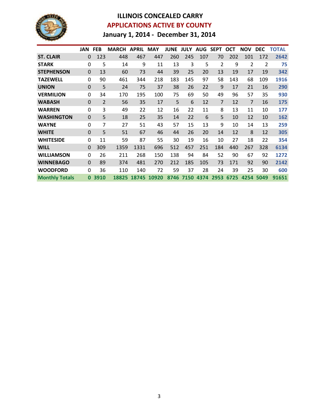

## **ILLINOIS CONCEALED CARRY APPLICATIONS ACTIVE BY COUNTY January 1, 2014 - December 31, 2014**

|                       | <b>JAN</b>  | <b>FEB</b>     | <b>MARCH</b> | <b>APRIL MAY</b> |       | <b>JUNE</b> | <b>JULY</b> | <b>AUG</b> | <b>SEPT</b> | <b>OCT</b> | <b>NOV</b> | <b>DEC</b> | <b>TOTAL</b> |
|-----------------------|-------------|----------------|--------------|------------------|-------|-------------|-------------|------------|-------------|------------|------------|------------|--------------|
| <b>ST. CLAIR</b>      | $\Omega$    | 123            | 448          | 467              | 447   | 260         | 245         | 107        | 70          | 202        | 101        | 172        | 2642         |
| <b>STARK</b>          | 0           | 5              | 14           | 9                | 11    | 13          | 3           | 5          | 2           | 9          | 2          | 2          | 75           |
| <b>STEPHENSON</b>     | $\Omega$    | 13             | 60           | 73               | 44    | 39          | 25          | 20         | 13          | 19         | 17         | 19         | 342          |
| <b>TAZEWELL</b>       | $\Omega$    | 90             | 461          | 344              | 218   | 183         | 145         | 97         | 58          | 143        | 68         | 109        | 1916         |
| <b>UNION</b>          | $\Omega$    | 5              | 24           | 75               | 37    | 38          | 26          | 22         | 9           | 17         | 21         | 16         | 290          |
| <b>VERMILION</b>      | $\Omega$    | 34             | 170          | 195              | 100   | 75          | 69          | 50         | 49          | 96         | 57         | 35         | 930          |
| <b>WABASH</b>         | $\Omega$    | $\overline{2}$ | 56           | 35               | 17    | 5           | 6           | 12         | 7           | 12         | 7          | 16         | 175          |
| <b>WARREN</b>         | $\Omega$    | 3              | 49           | 22               | 12    | 16          | 22          | 11         | 8           | 13         | 11         | 10         | 177          |
| <b>WASHINGTON</b>     | $\mathbf 0$ | 5              | 18           | 25               | 35    | 14          | 22          | 6          | 5           | 10         | 12         | 10         | 162          |
| <b>WAYNE</b>          | $\Omega$    | 7              | 27           | 51               | 43    | 57          | 15          | 13         | 9           | 10         | 14         | 13         | 259          |
| <b>WHITE</b>          | $\Omega$    | 5              | 51           | 67               | 46    | 44          | 26          | 20         | 14          | 12         | 8          | 12         | 305          |
| <b>WHITESIDE</b>      | $\Omega$    | 11             | 59           | 87               | 55    | 30          | 19          | 16         | 10          | 27         | 18         | 22         | 354          |
| <b>WILL</b>           | $\Omega$    | 309            | 1359         | 1331             | 696   | 512         | 457         | 251        | 184         | 440        | 267        | 328        | 6134         |
| <b>WILLIAMSON</b>     | 0           | 26             | 211          | 268              | 150   | 138         | 94          | 84         | 52          | 90         | 67         | 92         | 1272         |
| <b>WINNEBAGO</b>      | $\Omega$    | 89             | 374          | 481              | 270   | 212         | 185         | 105        | 73          | 171        | 92         | 90         | 2142         |
| <b>WOODFORD</b>       | $\Omega$    | 36             | 110          | 140              | 72    | 59          | 37          | 28         | 24          | 39         | 25         | 30         | 600          |
| <b>Monthly Totals</b> | $\bf{0}$    | 3910           | 18825        | 18745            | 10920 | 8746        | 7150        | 4374       | 2953        | 6725       | 4254       | 5049       | 91651        |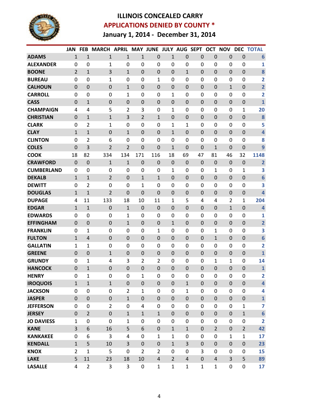

## **ILLINOIS CONCEALED CARRY APPLICATIONS DENIED BY COUNTY \* January 1, 2014 - December 31, 2014**

|                   | <b>JAN</b>     | <b>FEB</b>     | <b>MARCH</b>     | <b>APRIL</b>   |                  | <b>MAY JUNE</b>  | <b>JULY AUG</b>  |                  | <b>SEPT</b>  | <b>OCT</b>     | <b>NOV</b>   | <b>DEC</b>       | <b>TOTAL</b>            |
|-------------------|----------------|----------------|------------------|----------------|------------------|------------------|------------------|------------------|--------------|----------------|--------------|------------------|-------------------------|
| <b>ADAMS</b>      | 1              | $\mathbf{1}$   | $\mathbf{1}$     | $\mathbf{1}$   | $\mathbf{1}$     | $\overline{0}$   | 1                | 0                | $\mathbf 0$  | $\mathbf 0$    | $\mathbf 0$  | $\mathbf 0$      | $6\phantom{1}6$         |
| <b>ALEXANDER</b>  | 0              | $\mathbf 0$    | 1                | 0              | 0                | 0                | 0                | 0                | 0            | 0              | 0            | 0                | 1                       |
| <b>BOONE</b>      | $\overline{2}$ | $\mathbf{1}$   | 3                | $\mathbf{1}$   | $\mathbf 0$      | $\mathbf 0$      | 0                | 1                | $\mathbf 0$  | $\mathbf 0$    | $\mathbf 0$  | $\mathbf 0$      | 8                       |
| <b>BUREAU</b>     | $\Omega$       | 0              | 1                | $\mathbf 0$    | $\mathbf 0$      | $\mathbf{1}$     | 0                | 0                | $\mathbf 0$  | $\mathbf{0}$   | 0            | $\mathbf 0$      | 2                       |
| <b>CALHOUN</b>    | $\Omega$       | 0              | 0                | 1              | $\mathbf 0$      | 0                | 0                | 0                | $\mathbf 0$  | $\Omega$       | $\mathbf{1}$ | $\mathbf 0$      | $\overline{2}$          |
| <b>CARROLL</b>    | $\Omega$       | $\Omega$       | 0                | 1              | 0                | 0                | 1                | 0                | $\mathbf 0$  | $\Omega$       | 0            | $\mathbf 0$      | $\overline{\mathbf{2}}$ |
| <b>CASS</b>       | $\mathbf 0$    | 1              | $\mathbf 0$      | $\mathbf 0$    | $\mathbf 0$      | $\mathbf 0$      | 0                | $\boldsymbol{0}$ | $\mathbf 0$  | $\mathbf 0$    | $\mathbf 0$  | $\mathbf 0$      | $\mathbf{1}$            |
| <b>CHAMPAIGN</b>  | 4              | 4              | 5                | $\overline{2}$ | 3                | 0                | 1                | 0                | 0            | 0              | 0            | 1                | 20                      |
| <b>CHRISTIAN</b>  | $\Omega$       | $\mathbf{1}$   | $\mathbf{1}$     | $\overline{3}$ | $\overline{2}$   | $\mathbf{1}$     | $\mathbf 0$      | $\boldsymbol{0}$ | $\mathbf 0$  | $\mathbf 0$    | $\mathbf 0$  | $\boldsymbol{0}$ | 8                       |
| <b>CLARK</b>      | $\mathbf{0}$   | $\overline{2}$ | 1                | 0              | $\mathbf 0$      | 0                | 1                | 1                | $\mathbf 0$  | $\mathbf{0}$   | $\Omega$     | $\mathbf 0$      | 5                       |
| <b>CLAY</b>       | $\mathbf{1}$   | 1              | $\mathbf 0$      | $\mathbf{1}$   | $\mathbf 0$      | 0                | 1                | $\boldsymbol{0}$ | $\mathbf 0$  | $\Omega$       | $\mathbf 0$  | $\mathbf 0$      | $\overline{\mathbf{4}}$ |
| <b>CLINTON</b>    | 0              | 2              | 6                | 0              | 0                | 0                | 0                | 0                | 0            | 0              | 0            | 0                | 8                       |
| <b>COLES</b>      | $\mathbf 0$    | 3              | $\overline{2}$   | $\overline{2}$ | $\mathbf 0$      | 0                | 1                | $\boldsymbol{0}$ | $\mathbf 0$  | 1              | $\mathbf 0$  | $\mathbf 0$      | 9                       |
| <b>COOK</b>       | 18             | 82             | 334              | 134            | 171              | 116              | 18               | 69               | 47           | 81             | 46           | 32               | 1148                    |
| <b>CRAWFORD</b>   | $\mathbf 0$    | $\mathbf 0$    | 1                | $1\,$          | $\mathbf 0$      | $\mathbf 0$      | $\mathbf 0$      | $\mathbf 0$      | $\mathbf 0$  | $\mathbf 0$    | $\mathbf 0$  | $\mathbf 0$      | $\overline{2}$          |
| <b>CUMBERLAND</b> | $\mathbf{0}$   | 0              | 0                | 0              | 0                | 0                | 1                | 0                | $\mathbf 0$  | 1              | 0            | 1                | 3                       |
| <b>DEKALB</b>     | $\mathbf{1}$   | $\mathbf{1}$   | $\overline{2}$   | $\mathbf 0$    | $\mathbf{1}$     | $\mathbf{1}$     | 0                | 0                | $\mathbf 0$  | $\Omega$       | $\mathbf 0$  | $\mathbf 0$      | $6\phantom{1}6$         |
| <b>DEWITT</b>     | $\mathbf{0}$   | $\overline{2}$ | 0                | 0              | $\mathbf 1$      | 0                | $\mathbf 0$      | 0                | $\mathbf 0$  | 0              | 0            | $\mathbf 0$      | 3                       |
| <b>DOUGLAS</b>    | $\mathbf{1}$   | 1              | $\overline{2}$   | $\mathbf 0$    | $\mathbf 0$      | $\mathbf 0$      | 0                | $\boldsymbol{0}$ | $\mathbf 0$  | $\Omega$       | $\mathbf 0$  | $\mathbf 0$      | 4                       |
| <b>DUPAGE</b>     | 4              | 11             | 133              | 18             | 10               | 11               | 1                | 5                | 4            | 4              | 2            | 1                | 204                     |
| <b>EDGAR</b>      | $\mathbf{1}$   | $\mathbf{1}$   | $\boldsymbol{0}$ | $\mathbf{1}$   | $\mathbf 0$      | $\mathbf 0$      | 0                | $\mathbf 0$      | $\mathbf 0$  | $\mathbf 0$    | $\mathbf{1}$ | $\boldsymbol{0}$ | $\overline{\mathbf{4}}$ |
| <b>EDWARDS</b>    | 0              | 0              | 0                | 1              | 0                | 0                | 0                | 0                | $\mathbf 0$  | 0              | 0            | 0                | 1                       |
| <b>EFFINGHAM</b>  | $\Omega$       | 0              | $\mathbf 0$      | $\mathbf{1}$   | $\mathbf 0$      | $\mathbf 0$      | 1                | $\mathbf 0$      | $\mathbf 0$  | $\Omega$       | $\mathbf 0$  | $\mathbf 0$      | $\overline{\mathbf{2}}$ |
| <b>FRANKLIN</b>   | $\mathbf{0}$   | 1              | 0                | 0              | 0                | 1                | 0                | 0                | 0            | 1              | 0            | $\mathbf 0$      | 3                       |
| <b>FULTON</b>     | $\mathbf{1}$   | 4              | $\boldsymbol{0}$ | $\mathbf 0$    | $\mathbf 0$      | 0                | $\mathbf 0$      | $\mathbf 0$      | $\mathbf 0$  | $\mathbf{1}$   | $\mathbf 0$  | $\mathbf 0$      | $6\phantom{1}6$         |
| <b>GALLATIN</b>   | 1              | 1              | 0                | 0              | $\mathbf 0$      | 0                | 0                | 0                | 0            | $\overline{0}$ | 0            | 0                | 2                       |
| <b>GREENE</b>     | $\mathbf 0$    | $\mathbf 0$    | $\mathbf{1}$     | $\mathbf 0$    | $\mathbf 0$      | $\mathbf 0$      | $\mathbf 0$      | $\mathbf 0$      | $\mathbf 0$  | $\mathbf 0$    | $\mathbf 0$  | $\mathbf 0$      | $\mathbf{1}$            |
| <b>GRUNDY</b>     | $\mathbf{0}$   | 1              | 4                | 3              | $\overline{2}$   | $\overline{2}$   | 0                | 0                | $\mathbf 0$  | 1              | $\mathbf 1$  | $\mathbf 0$      | 14                      |
| <b>HANCOCK</b>    | $\Omega$       | $\mathbf{1}$   | $\mathbf 0$      | $\mathbf 0$    | $\mathbf 0$      | 0                | 0                | $\mathbf 0$      | $\mathbf 0$  | $\Omega$       | $\mathbf 0$  | $\mathbf 0$      | $\mathbf{1}$            |
| <b>HENRY</b>      | $\mathbf{0}$   | 1              | 0                | $\overline{0}$ | $\mathbf{1}$     | 0                | 0                | 0                | $\Omega$     | 0              | $\Omega$     | 0                | 2                       |
| <b>IROQUOIS</b>   | $\mathbf{1}$   | $\mathbf{1}$   | $\mathbf{1}$     | $\pmb{0}$      | $\boldsymbol{0}$ | $\pmb{0}$        | $\pmb{0}$        | $\mathbf{1}$     | $\mathbf 0$  | $\mathbf 0$    | $\pmb{0}$    | $\boldsymbol{0}$ | 4                       |
| <b>JACKSON</b>    | 0              | $\mathbf 0$    | 0                | $\overline{2}$ | $\mathbf{1}$     | 0                | $\mathbf 0$      | $\mathbf{1}$     | $\mathbf 0$  | $\mathbf{0}$   | $\mathbf 0$  | $\boldsymbol{0}$ | 4                       |
| <b>JASPER</b>     | $\mathbf 0$    | $\mathbf 0$    | $\pmb{0}$        | $\mathbf{1}$   | $\mathbf 0$      | $\mathbf 0$      | $\boldsymbol{0}$ | $\boldsymbol{0}$ | $\mathbf 0$  | $\mathbf 0$    | $\pmb{0}$    | $\pmb{0}$        | $\mathbf{1}$            |
| <b>JEFFERSON</b>  | 0              | 0              | $\overline{2}$   | $\mathbf 0$    | 4                | 0                | 0                | 0                | 0            | 0              | $\pmb{0}$    | $\mathbf{1}$     | $\overline{7}$          |
| <b>JERSEY</b>     | $\mathbf{0}$   | $\overline{2}$ | $\pmb{0}$        | $\mathbf{1}$   | $\mathbf{1}$     | $\mathbf{1}$     | $\mathbf 0$      | $\boldsymbol{0}$ | $\mathbf 0$  | $\mathbf 0$    | $\mathbf 0$  | $\mathbf{1}$     | $6\phantom{a}$          |
| <b>JO DAVIESS</b> | $\mathbf{1}$   | 0              | 0                | $\mathbf{1}$   | 0                | 0                | 0                | 0                | $\mathbf 0$  | 0              | $\mathbf 0$  | 0                | $\overline{\mathbf{2}}$ |
| <b>KANE</b>       | 3              | 6              | 16               | 5              | 6                | $\mathbf 0$      | $\mathbf{1}$     | $\mathbf{1}$     | $\mathbf 0$  | $\overline{2}$ | $\pmb{0}$    | $\overline{2}$   | 42                      |
| <b>KANKAKEE</b>   | 0              | 6              | 3                | 4              | 0                | $\mathbf{1}$     | $\mathbf{1}$     | 0                | $\mathbf 0$  | 0              | $\mathbf{1}$ | $\mathbf 1$      | 17                      |
| <b>KENDALL</b>    | $\mathbf{1}$   | 5              | 10               | 3              | $\boldsymbol{0}$ | $\boldsymbol{0}$ | $\mathbf{1}$     | 3                | $\mathbf 0$  | $\pmb{0}$      | $\pmb{0}$    | $\pmb{0}$        | 23                      |
| <b>KNOX</b>       | $\overline{2}$ | $\mathbf{1}$   | 5                | $\mathbf 0$    | $\overline{2}$   | $\overline{2}$   | $\mathbf 0$      | $\boldsymbol{0}$ | 3            | $\mathbf 0$    | $\pmb{0}$    | 0                | 15                      |
| <b>LAKE</b>       | 5              | 11             | 23               | 18             | 10               | $\sqrt{4}$       | $\overline{2}$   | $\overline{4}$   | $\pmb{0}$    | $\overline{4}$ | 3            | 5                | 89                      |
| <b>LASALLE</b>    | 4              | $\overline{2}$ | 3                | 3              | 0                | $\mathbf{1}$     | $\mathbf{1}$     | $\mathbf{1}$     | $\mathbf{1}$ | $\mathbf{1}$   | $\pmb{0}$    | 0                | 17                      |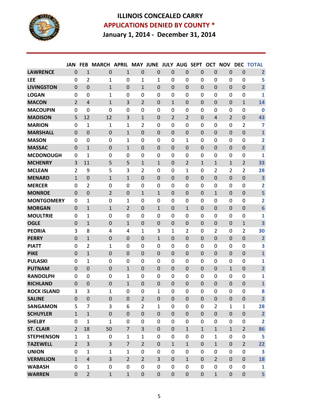

## **ILLINOIS CONCEALED CARRY APPLICATIONS DENIED BY COUNTY \* January 1, 2014 - December 31, 2014**

|                    | <b>JAN</b>     | <b>FEB</b>     | <b>MARCH</b>     | <b>APRIL</b>   | <b>MAY JUNE</b>  |                  | <b>JULY AUG</b> |                  | <b>SEPT</b>    | <b>OCT</b>     | <b>NOV</b>       | <b>DEC</b>       | <b>TOTAL</b>            |
|--------------------|----------------|----------------|------------------|----------------|------------------|------------------|-----------------|------------------|----------------|----------------|------------------|------------------|-------------------------|
| <b>LAWRENCE</b>    | $\mathbf 0$    | $\overline{1}$ | $\mathbf 0$      | $\mathbf{1}$   | $\mathbf 0$      | $\mathbf 0$      | 0               | 0                | $\mathbf 0$    | $\mathbf 0$    | $\mathbf 0$      | $\mathbf 0$      | $\overline{\mathbf{2}}$ |
| <b>LEE</b>         | 0              | 2              | 1                | 0              | 1                | 1                | 0               | 0                | 0              | 0              | 0                | 0                | 5                       |
| <b>LIVINGSTON</b>  | $\Omega$       | $\overline{0}$ | $\mathbf{1}$     | $\overline{0}$ | $\mathbf{1}$     | $\overline{0}$   | $\overline{0}$  | $\mathbf 0$      | $\overline{0}$ | $\Omega$       | $\overline{0}$   | $\mathbf 0$      | $\overline{\mathbf{2}}$ |
| <b>LOGAN</b>       | $\Omega$       | 0              | 1                | 0              | 0                | 0                | 0               | 0                | 0              | 0              | 0                | 0                | 1                       |
| <b>MACON</b>       | 2              | $\overline{4}$ | 1                | 3              | $\overline{2}$   | $\Omega$         | 1               | $\mathbf 0$      | $\mathbf 0$    | 0              | $\mathbf 0$      | $\mathbf{1}$     | 14                      |
| <b>MACOUPIN</b>    | $\Omega$       | $\mathbf 0$    | $\mathbf 0$      | 0              | 0                | $\mathbf 0$      | 0               | 0                | 0              | 0              | 0                | 0                | $\mathbf 0$             |
| <b>MADISON</b>     | 5              | 12             | 12               | 3              | $\mathbf{1}$     | 0                | 2               | $\overline{2}$   | $\mathbf 0$    | 4              | $\overline{2}$   | 0                | 43                      |
| <b>MARION</b>      | $\Omega$       | 1              | 1                | 1              | $\overline{2}$   | 0                | $\mathbf 0$     | $\mathbf 0$      | 0              | 0              | $\mathbf 0$      | $\overline{2}$   | 7                       |
| <b>MARSHALL</b>    | $\mathbf 0$    | 0              | $\mathbf 0$      | $\mathbf{1}$   | $\mathbf 0$      | 0                | 0               | $\mathbf 0$      | $\mathbf 0$    | $\Omega$       | $\overline{0}$   | $\mathbf 0$      | $\mathbf{1}$            |
| <b>MASON</b>       | $\Omega$       | 0              | 0                | 1              | 0                | 0                | $\mathbf 0$     | 1                | 0              | 0              | 0                | $\mathbf 0$      | $\overline{2}$          |
| <b>MASSAC</b>      | $\Omega$       | 1              | $\mathbf 0$      | 1              | $\mathbf 0$      | 0                | 0               | $\mathbf 0$      | $\mathbf 0$    | 0              | $\mathbf 0$      | $\mathbf 0$      | $\overline{\mathbf{2}}$ |
| <b>MCDONOUGH</b>   | 0              | 1              | 0                | 0              | 0                | 0                | 0               | 0                | 0              | 0              | $\mathbf 0$      | 0                | 1                       |
| <b>MCHENRY</b>     | 3              | 11             | 5                | 5              | $\mathbf{1}$     | $\mathbf{1}$     | $\mathbf 0$     | 2                | $\mathbf{1}$   | 1              | $\mathbf{1}$     | $\overline{2}$   | 33                      |
| <b>MCLEAN</b>      | 2              | 9              | 5                | 3              | $\overline{2}$   | 0                | 0               | 1                | 0              | $\overline{2}$ | $\overline{2}$   | $\overline{2}$   | 28                      |
| <b>MENARD</b>      | $\mathbf{1}$   | 0              | $\mathbf{1}$     | $\mathbf{1}$   | $\mathbf 0$      | $\Omega$         | 0               | $\mathbf 0$      | $\mathbf 0$    | $\overline{0}$ | $\overline{0}$   | $\mathbf 0$      | 3                       |
| <b>MERCER</b>      | $\Omega$       | 2              | 0                | 0              | 0                | 0                | 0               | 0                | 0              | 0              | 0                | 0                | $\overline{2}$          |
| <b>MONROE</b>      | $\Omega$       | 0              | 2                | $\mathbf 0$    | $\mathbf{1}$     | 1                | 0               | $\mathbf 0$      | $\mathbf 0$    | $\mathbf{1}$   | $\mathbf 0$      | $\mathbf 0$      | 5                       |
| <b>MONTGOMERY</b>  | $\Omega$       | 1              | 0                | 1              | 0                | $\mathbf 0$      | $\mathbf 0$     | 0                | 0              | 0              | 0                | 0                | $\overline{2}$          |
| <b>MORGAN</b>      | $\Omega$       | 1              | 1                | $\overline{2}$ | $\boldsymbol{0}$ | 1                | $\mathbf 0$     | 1                | $\mathbf 0$    | 0              | $\mathbf 0$      | $\mathbf 0$      | $6\phantom{1}6$         |
| <b>MOULTRIE</b>    | $\Omega$       | 1              | $\mathbf 0$      | $\mathbf 0$    | 0                | $\mathbf 0$      | $\mathbf 0$     | $\mathbf 0$      | 0              | 0              | 0                | 0                | 1                       |
| <b>OGLE</b>        | $\mathbf 0$    | 1              | $\mathbf 0$      | 1              | $\mathbf 0$      | 0                | $\mathbf 0$     | $\mathbf 0$      | $\mathbf 0$    | 0              | $\mathbf 0$      | $\mathbf 1$      | 3                       |
| <b>PEORIA</b>      | 3              | 8              | $\overline{4}$   | 4              | $\mathbf 1$      | 3                | $\mathbf{1}$    | 2                | 0              | $\overline{2}$ | 0                | $\overline{2}$   | 30                      |
| <b>PERRY</b>       | $\Omega$       | 1              | 0                | 0              | $\mathbf 0$      | $\mathbf{1}$     | 0               | $\mathbf 0$      | $\Omega$       | $\Omega$       | $\Omega$         | $\mathbf 0$      | $\overline{\mathbf{2}}$ |
| <b>PIATT</b>       | $\Omega$       | 2              | 1                | 0              | 0                | 0                | 0               | 0                | 0              | 0              | 0                | 0                | 3                       |
| <b>PIKE</b>        | $\overline{0}$ | 1              | $\boldsymbol{0}$ | $\mathbf 0$    | $\boldsymbol{0}$ | $\mathbf 0$      | $\mathbf 0$     | $\mathbf 0$      | $\mathbf 0$    | 0              | $\mathbf 0$      | 0                | $\mathbf{1}$            |
| <b>PULASKI</b>     | $\Omega$       | 1              | 0                | 0              | 0                | 0                | $\mathbf 0$     | 0                | 0              | 0              | 0                | 0                | $\mathbf{1}$            |
| <b>PUTNAM</b>      | $\Omega$       | $\mathbf 0$    | $\mathbf 0$      | $\mathbf{1}$   | $\mathbf 0$      | $\mathbf 0$      | $\mathbf 0$     | $\mathbf 0$      | $\mathbf 0$    | $\mathbf 0$    | $\mathbf{1}$     | $\mathbf 0$      | $\overline{\mathbf{2}}$ |
| <b>RANDOLPH</b>    | 0              | 0              | 0                | 1              | 0                | 0                | 0               | 0                | $\Omega$       | 0              | $\mathbf{0}$     | 0                | $\mathbf{1}$            |
| <b>RICHLAND</b>    | $\Omega$       | 0              | 0                | $\mathbf{1}$   | $\mathbf 0$      | 0                | 0               | $\mathbf 0$      | $\overline{0}$ | $\Omega$       | $\Omega$         | $\mathbf 0$      | $\mathbf{1}$            |
| <b>ROCK ISLAND</b> | 3              | 3              | 1                | 0              | $\mathbf 0$      | 1                | 0               | 0                | $\Omega$       | 0              | $\mathbf{0}$     | 0                | 8                       |
| <b>SALINE</b>      | $\mathbf{0}$   | $\pmb{0}$      | $\pmb{0}$        | $\pmb{0}$      | $\overline{2}$   | $\pmb{0}$        | $\mathbf 0$     | $\pmb{0}$        | $\mathbf 0$    | $\pmb{0}$      | $\boldsymbol{0}$ | $\boldsymbol{0}$ | $\overline{2}$          |
| <b>SANGAMON</b>    | 5              | $\overline{7}$ | 3                | 6              | $\overline{2}$   | $\mathbf{1}$     | $\mathbf 0$     | 0                | 0              | $\overline{2}$ | $\mathbf{1}$     | $\mathbf{1}$     | 28                      |
| <b>SCHUYLER</b>    | $\mathbf{1}$   | $\mathbf{1}$   | $\pmb{0}$        | $\pmb{0}$      | $\boldsymbol{0}$ | $\boldsymbol{0}$ | $\pmb{0}$       | $\boldsymbol{0}$ | $\mathbf 0$    | $\mathbf 0$    | $\boldsymbol{0}$ | $\boldsymbol{0}$ | $\overline{\mathbf{2}}$ |
| <b>SHELBY</b>      | $\Omega$       | $\mathbf{1}$   | 1                | 0              | $\boldsymbol{0}$ | 0                | 0               | 0                | 0              | 0              | $\mathbf 0$      | 0                | $\overline{\mathbf{2}}$ |
| <b>ST. CLAIR</b>   | $\overline{2}$ | 18             | 50               | $\overline{7}$ | 3                | $\mathbf 0$      | $\mathbf 0$     | $\mathbf{1}$     | $\mathbf{1}$   | $\mathbf{1}$   | $\mathbf{1}$     | $\overline{2}$   | 86                      |
| <b>STEPHENSON</b>  | $\mathbf{1}$   | $\mathbf{1}$   | 0                | $\mathbf{1}$   | $\mathbf{1}$     | 0                | 0               | 0                | 0              | $\mathbf{1}$   | $\mathbf 0$      | $\boldsymbol{0}$ | 5                       |
| <b>TAZEWELL</b>    | $\overline{2}$ | 3              | 3                | $\overline{7}$ | $\overline{2}$   | $\mathbf 0$      | $\mathbf{1}$    | $\mathbf{1}$     | $\mathbf 0$    | $\mathbf{1}$   | $\mathbf 0$      | $\overline{2}$   | 22                      |
| <b>UNION</b>       | $\Omega$       | $\mathbf{1}$   | $\mathbf{1}$     | $\mathbf{1}$   | $\mathbf 0$      | 0                | 0               | 0                | 0              | 0              | $\mathbf 0$      | 0                | 3                       |
| <b>VERMILION</b>   | $\mathbf{1}$   | $\overline{4}$ | 3                | $\overline{2}$ | $\overline{2}$   | 3                | $\mathbf 0$     | $\mathbf{1}$     | $\mathbf 0$    | $\overline{2}$ | $\mathbf 0$      | $\mathbf 0$      | 18                      |
| <b>WABASH</b>      | $\Omega$       | $\mathbf{1}$   | 0                | 0              | 0                | 0                | $\mathbf{0}$    | 0                | 0              | 0              | 0                | 0                | 1                       |
| <b>WARREN</b>      | $\mathbf{0}$   | $\overline{2}$ | $\mathbf{1}$     | $\mathbf{1}$   | $\pmb{0}$        | $\mathbf 0$      | $\mathbf 0$     | $\boldsymbol{0}$ | $\mathbf 0$    | $\mathbf{1}$   | $\mathbf 0$      | $\boldsymbol{0}$ | 5                       |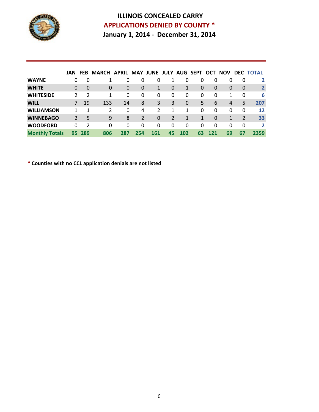

#### **ILLINOIS CONCEALED CARRY APPLICATIONS DENIED BY COUNTY \* January 1, 2014 - December 31, 2014**

|                       | <b>JAN FEB</b> |          | <b>MARCH APRIL</b> |          |     | MAY JUNE JULY AUG SEPT |    |             |          | OCT      | <b>NOV</b> |          | <b>DEC TOTAL</b> |
|-----------------------|----------------|----------|--------------------|----------|-----|------------------------|----|-------------|----------|----------|------------|----------|------------------|
| <b>WAYNE</b>          | 0              | 0        |                    | 0        | 0   | 0                      |    | 0           | 0        | 0        | 0          | 0        | 2                |
| <b>WHITE</b>          | 0              | $\Omega$ | 0                  | $\Omega$ | 0   | 1                      | 0  | 1           | $\Omega$ | $\Omega$ | 0          | $\Omega$ | $\overline{2}$   |
| <b>WHITESIDE</b>      | 2              | 2        | 1                  | 0        | 0   | 0                      | 0  | 0           | 0        | 0        | 1          | 0        | 6                |
| <b>WILL</b>           | 7              | 19       | 133                | 14       | 8   | 3                      | 3  | $\mathbf 0$ | 5        | 6        | 4          | 5        | 207              |
| <b>WILLIAMSON</b>     | 1              | 1        | 2                  | $\Omega$ | 4   | 2                      | 1  | 1           | 0        | 0        | 0          | $\Omega$ | 12               |
| <b>WINNEBAGO</b>      | 2              | 5        | 9                  | 8        | 2   | $\Omega$               | 2  | 1           | 1        | $\Omega$ | 1          | 2        | 33               |
| <b>WOODFORD</b>       | 0              | 2        | 0                  | 0        | 0   | 0                      | 0  | 0           | 0        | 0        | 0          | 0        | $\overline{2}$   |
| <b>Monthly Totals</b> | 95             | 289      | 806                | 287      | 254 | 161                    | 45 | 102         | 63       | 121      | 69         | 67       | 2359             |

**\* Counties with no CCL application denials are not listed**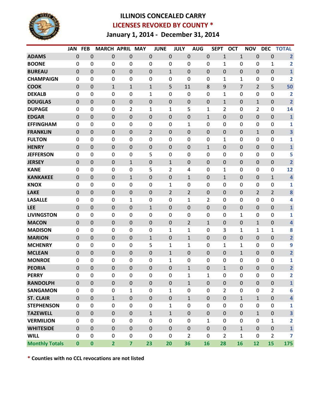

#### **ILLINOIS CONCEALED CARRY LICENSES REVOKED BY COUNTY \* January 1, 2014 - December 31, 2014**

|                       | <b>JAN</b>  | <b>FEB</b>       | <b>MARCH APRIL</b> |                  | <b>MAY</b>       | <b>JUNE</b>      | <b>JULY</b>      | <b>AUG</b>       | <b>SEPT</b>    | <b>OCT</b>       | <b>NOV</b>     | <b>DEC</b>     | <b>TOTAL</b>            |
|-----------------------|-------------|------------------|--------------------|------------------|------------------|------------------|------------------|------------------|----------------|------------------|----------------|----------------|-------------------------|
| <b>ADAMS</b>          | $\mathbf 0$ | $\boldsymbol{0}$ | $\mathbf 0$        | 0                | 0                | $\pmb{0}$        | $\mathbf 0$      | $\boldsymbol{0}$ | $\mathbf{1}$   | $\mathbf{1}$     | 0              | $\mathbf 0$    | $\overline{2}$          |
| <b>BOONE</b>          | $\mathbf 0$ | $\mathbf 0$      | 0                  | 0                | $\boldsymbol{0}$ | 0                | $\mathbf 0$      | 0                | 1              | 0                | $\mathbf 0$    | 1              | $\overline{2}$          |
| <b>BUREAU</b>         | $\mathbf 0$ | $\mathbf 0$      | $\boldsymbol{0}$   | 0                | 0                | $\mathbf{1}$     | $\mathbf 0$      | $\pmb{0}$        | 0              | $\boldsymbol{0}$ | 0              | $\mathbf 0$    | $\mathbf{1}$            |
| <b>CHAMPAIGN</b>      | $\mathbf 0$ | $\boldsymbol{0}$ | 0                  | 0                | 0                | 0                | $\mathbf 0$      | 0                | $\mathbf{1}$   | $\mathbf{1}$     | $\mathbf 0$    | 0              | $\overline{\mathbf{2}}$ |
| <b>COOK</b>           | $\mathbf 0$ | $\boldsymbol{0}$ | $\mathbf 1$        | $\mathbf{1}$     | $\mathbf{1}$     | 5                | 11               | 8                | 9              | 7                | $\overline{2}$ | 5              | 50                      |
| <b>DEKALB</b>         | $\mathbf 0$ | 0                | 0                  | 0                | 1                | 0                | 0                | 0                | 1              | 0                | 0              | 0              | $\overline{2}$          |
| <b>DOUGLAS</b>        | $\mathbf 0$ | $\boldsymbol{0}$ | $\boldsymbol{0}$   | 0                | 0                | $\pmb{0}$        | $\mathbf 0$      | $\boldsymbol{0}$ | $\mathbf{1}$   | $\boldsymbol{0}$ | $\mathbf{1}$   | 0              | $\overline{2}$          |
| <b>DUPAGE</b>         | $\mathbf 0$ | $\mathbf 0$      | 0                  | 2                | 1                | $\mathbf 1$      | 5                | 1                | 2              | 0                | $\overline{2}$ | 0              | 14                      |
| <b>EDGAR</b>          | $\mathbf 0$ | $\boldsymbol{0}$ | $\boldsymbol{0}$   | $\mathbf 0$      | 0                | $\pmb{0}$        | $\mathbf 0$      | $\mathbf{1}$     | 0              | $\boldsymbol{0}$ | 0              | $\mathbf 0$    | $\mathbf 1$             |
| <b>EFFINGHAM</b>      | $\mathbf 0$ | 0                | 0                  | 0                | 0                | 0                | 1                | 0                | 0              | 0                | 0              | 0              | 1                       |
| <b>FRANKLIN</b>       | $\mathbf 0$ | $\boldsymbol{0}$ | $\mathbf 0$        | 0                | 2                | 0                | $\mathbf 0$      | 0                | $\overline{0}$ | $\boldsymbol{0}$ | $\mathbf{1}$   | $\mathbf 0$    | 3                       |
| <b>FULTON</b>         | $\mathbf 0$ | $\mathbf 0$      | 0                  | 0                | 0                | 0                | $\mathbf 0$      | 0                | 1              | 0                | 0              | 0              | 1                       |
| <b>HENRY</b>          | $\mathbf 0$ | $\boldsymbol{0}$ | $\boldsymbol{0}$   | $\mathbf 0$      | 0                | $\pmb{0}$        | $\mathbf 0$      | $\mathbf{1}$     | 0              | $\boldsymbol{0}$ | 0              | $\mathbf 0$    | $\mathbf{1}$            |
| <b>JEFFERSON</b>      | $\mathbf 0$ | $\boldsymbol{0}$ | 0                  | 0                | 5                | 0                | $\mathbf 0$      | $\mathbf 0$      | 0              | 0                | $\mathbf 0$    | $\mathbf 0$    | 5                       |
| <b>JERSEY</b>         | $\theta$    | $\mathbf 0$      | $\boldsymbol{0}$   | 1                | 0                | $\mathbf{1}$     | $\mathbf 0$      | $\boldsymbol{0}$ | 0              | $\boldsymbol{0}$ | 0              | 0              | $\overline{2}$          |
| <b>KANE</b>           | $\mathbf 0$ | $\boldsymbol{0}$ | 0                  | 0                | 5                | $\overline{2}$   | $\overline{4}$   | 0                | $\mathbf{1}$   | 0                | 0              | 0              | 12                      |
| <b>KANKAKEE</b>       | $\mathbf 0$ | $\boldsymbol{0}$ | $\boldsymbol{0}$   | 1                | 0                | $\pmb{0}$        | $\mathbf{1}$     | $\boldsymbol{0}$ | $\mathbf{1}$   | $\boldsymbol{0}$ | 0              | $\mathbf{1}$   | $\overline{\mathbf{4}}$ |
| <b>KNOX</b>           | $\mathbf 0$ | 0                | 0                  | 0                | 0                | $\mathbf{1}$     | $\mathbf 0$      | 0                | 0              | 0                | 0              | 0              | 1                       |
| <b>LAKE</b>           | $\mathbf 0$ | $\boldsymbol{0}$ | $\mathbf 0$        | 0                | 0                | $\overline{2}$   | $\overline{2}$   | 0                | 0              | $\boldsymbol{0}$ | $\overline{2}$ | 2              | 8                       |
| <b>LASALLE</b>        | $\mathbf 0$ | $\boldsymbol{0}$ | 0                  | 1                | $\mathbf 0$      | 0                | 1                | 2                | 0              | 0                | $\mathbf 0$    | 0              | 4                       |
| <b>LEE</b>            | $\mathbf 0$ | $\boldsymbol{0}$ | $\boldsymbol{0}$   | $\boldsymbol{0}$ | $\mathbf 1$      | $\pmb{0}$        | $\mathbf 0$      | $\boldsymbol{0}$ | 0              | $\boldsymbol{0}$ | 0              | 0              | $\mathbf{1}$            |
| <b>LIVINGSTON</b>     | $\mathbf 0$ | $\boldsymbol{0}$ | 0                  | 0                | 0                | 0                | 0                | 0                | 0              | 1                | $\mathbf 0$    | $\mathbf 0$    | 1                       |
| <b>MACON</b>          | $\mathbf 0$ | $\mathbf 0$      | $\boldsymbol{0}$   | 0                | $\boldsymbol{0}$ | $\pmb{0}$        | $\overline{2}$   | $\mathbf 1$      | 0              | $\boldsymbol{0}$ | $\mathbf{1}$   | $\mathbf 0$    | $\overline{\mathbf{4}}$ |
| <b>MADISON</b>        | $\mathbf 0$ | 0                | 0                  | 0                | 0                | 1                | 1                | 0                | 3              | 1                | $\mathbf{1}$   | 1              | 8                       |
| <b>MARION</b>         | $\mathbf 0$ | $\mathbf 0$      | $\mathbf 0$        | 0                | $\mathbf{1}$     | 0                | $\mathbf{1}$     | $\Omega$         | $\overline{0}$ | $\mathbf 0$      | 0              | 0              | $\overline{\mathbf{2}}$ |
| <b>MCHENRY</b>        | $\mathbf 0$ | $\boldsymbol{0}$ | 0                  | 0                | 5                | 1                | 1                | $\mathbf 0$      | 1              | 1                | 0              | 0              | 9                       |
| <b>MCLEAN</b>         | $\theta$    | $\boldsymbol{0}$ | $\boldsymbol{0}$   | 0                | $\pmb{0}$        | $\mathbf{1}$     | $\mathbf 0$      | $\pmb{0}$        | 0              | $\mathbf{1}$     | 0              | 0              | $\overline{2}$          |
| <b>MONROE</b>         | $\mathbf 0$ | $\mathbf 0$      | 0                  | 0                | $\mathbf 0$      | $\mathbf{1}$     | $\mathbf 0$      | 0                | 0              | 0                | $\mathbf 0$    | $\mathbf 0$    | 1                       |
| <b>PEORIA</b>         | $\mathbf 0$ | $\mathbf 0$      | $\boldsymbol{0}$   | 0                | 0                | $\pmb{0}$        | $\mathbf{1}$     | $\pmb{0}$        | 1              | $\pmb{0}$        | 0              | 0              | $\overline{\mathbf{2}}$ |
| <b>PERRY</b>          | $\mathbf 0$ | 0                | 0                  | 0                | 0                | 0                | 1                | 1                | 0              | 0                | 0              | 0              | 2                       |
| <b>RANDOLPH</b>       | $\mathbf 0$ | $\boldsymbol{0}$ | $\boldsymbol{0}$   | $\boldsymbol{0}$ | $\mathbf 0$      | $\pmb{0}$        | $\mathbf{1}$     | $\mathbf 0$      | $\pmb{0}$      | $\pmb{0}$        | $\mathbf 0$    | $\mathbf 0$    | $\mathbf{1}$            |
| <b>SANGAMON</b>       | $\mathbf 0$ | $\mathbf 0$      | $\boldsymbol{0}$   | 1                | $\pmb{0}$        | $\mathbf{1}$     | $\mathbf 0$      | $\mathbf 0$      | $\overline{2}$ | $\boldsymbol{0}$ | $\pmb{0}$      | $\overline{2}$ | 6                       |
| <b>ST. CLAIR</b>      | $\mathbf 0$ | $\pmb{0}$        | $\mathbf{1}$       | $\mathbf 0$      | $\boldsymbol{0}$ | $\pmb{0}$        | $\mathbf 1$      | $\boldsymbol{0}$ | $\mathbf 0$    | $\mathbf 1$      | $\mathbf{1}$   | $\mathbf 0$    | $\overline{\mathbf{4}}$ |
| <b>STEPHENSON</b>     | $\mathbf 0$ | $\pmb{0}$        | 0                  | $\mathbf 0$      | $\pmb{0}$        | $\mathbf{1}$     | $\boldsymbol{0}$ | $\pmb{0}$        | $\mathbf 0$    | 0                | $\pmb{0}$      | $\mathbf 0$    | 1                       |
| <b>TAZEWELL</b>       | $\mathbf 0$ | $\pmb{0}$        | $\mathbf 0$        | $\boldsymbol{0}$ | $\mathbf 1$      | $\mathbf 1$      | $\boldsymbol{0}$ | $\boldsymbol{0}$ | $\pmb{0}$      | $\pmb{0}$        | $\mathbf{1}$   | $\mathbf 0$    | 3                       |
| <b>VERMILION</b>      | $\mathbf 0$ | $\boldsymbol{0}$ | 0                  | 0                | $\pmb{0}$        | 0                | $\mathbf 0$      | $\mathbf{1}$     | $\mathbf 0$    | 0                | $\mathbf 0$    | $\mathbf{1}$   | $\overline{2}$          |
| <b>WHITESIDE</b>      | $\mathbf 0$ | $\pmb{0}$        | $\boldsymbol{0}$   | $\overline{0}$   | $\mathbf 0$      | $\boldsymbol{0}$ | $\mathbf 0$      | $\mathbf 0$      | $\mathbf 0$    | $\mathbf{1}$     | $\mathbf 0$    | $\mathbf 0$    | $\mathbf 1$             |
| <b>WILL</b>           | $\mathbf 0$ | $\boldsymbol{0}$ | $\boldsymbol{0}$   | $\pmb{0}$        | $\pmb{0}$        | $\pmb{0}$        | $\overline{2}$   | $\boldsymbol{0}$ | $\overline{2}$ | $\mathbf{1}$     | $\mathbf 0$    | $\overline{2}$ | 7                       |
| <b>Monthly Totals</b> | $\mathbf 0$ | $\mathbf 0$      | $\overline{2}$     | $\overline{7}$   | 23               | 20               | 36               | 16               | 28             | 16               | 12             | 15             | 175                     |

**\* Counties with no CCL revocations are not listed**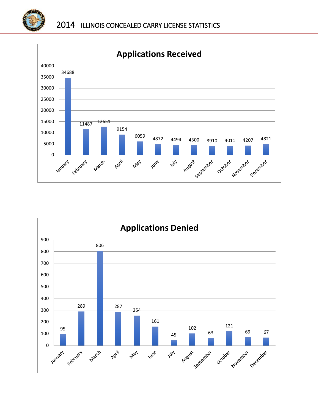



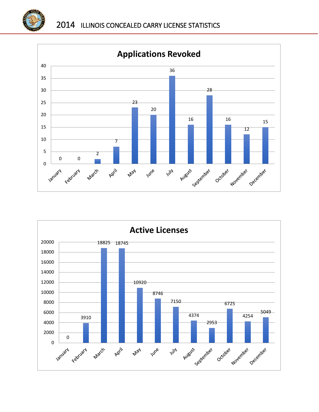



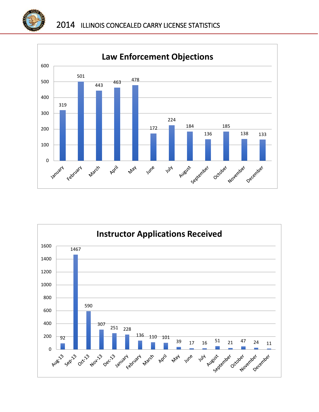